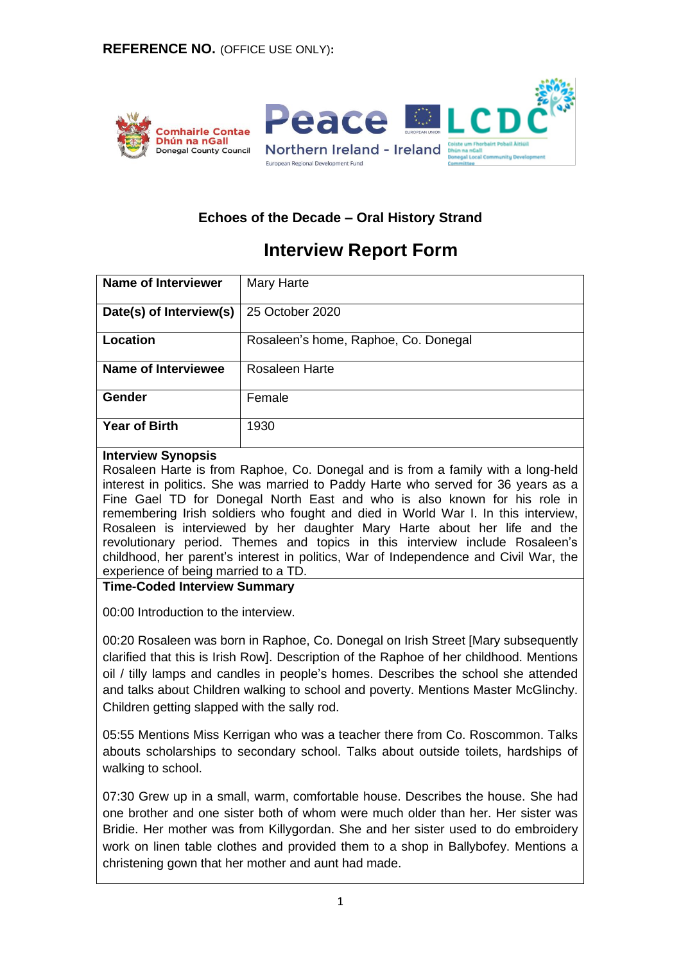

# **Echoes of the Decade – Oral History Strand**

# **Interview Report Form**

| <b>Name of Interviewer</b> | <b>Mary Harte</b>                    |
|----------------------------|--------------------------------------|
| Date(s) of Interview(s)    | 25 October 2020                      |
| <b>Location</b>            | Rosaleen's home, Raphoe, Co. Donegal |
| <b>Name of Interviewee</b> | Rosaleen Harte                       |
| Gender                     | Female                               |
| <b>Year of Birth</b>       | 1930                                 |

#### **Interview Synopsis**

Rosaleen Harte is from Raphoe, Co. Donegal and is from a family with a long-held interest in politics. She was married to Paddy Harte who served for 36 years as a Fine Gael TD for Donegal North East and who is also known for his role in remembering Irish soldiers who fought and died in World War I. In this interview, Rosaleen is interviewed by her daughter Mary Harte about her life and the revolutionary period. Themes and topics in this interview include Rosaleen's childhood, her parent's interest in politics, War of Independence and Civil War, the experience of being married to a TD.

## **Time-Coded Interview Summary**

00:00 Introduction to the interview.

00:20 Rosaleen was born in Raphoe, Co. Donegal on Irish Street [Mary subsequently clarified that this is Irish Row]. Description of the Raphoe of her childhood. Mentions oil / tilly lamps and candles in people's homes. Describes the school she attended and talks about Children walking to school and poverty. Mentions Master McGlinchy. Children getting slapped with the sally rod.

05:55 Mentions Miss Kerrigan who was a teacher there from Co. Roscommon. Talks abouts scholarships to secondary school. Talks about outside toilets, hardships of walking to school.

07:30 Grew up in a small, warm, comfortable house. Describes the house. She had one brother and one sister both of whom were much older than her. Her sister was Bridie. Her mother was from Killygordan. She and her sister used to do embroidery work on linen table clothes and provided them to a shop in Ballybofey. Mentions a christening gown that her mother and aunt had made.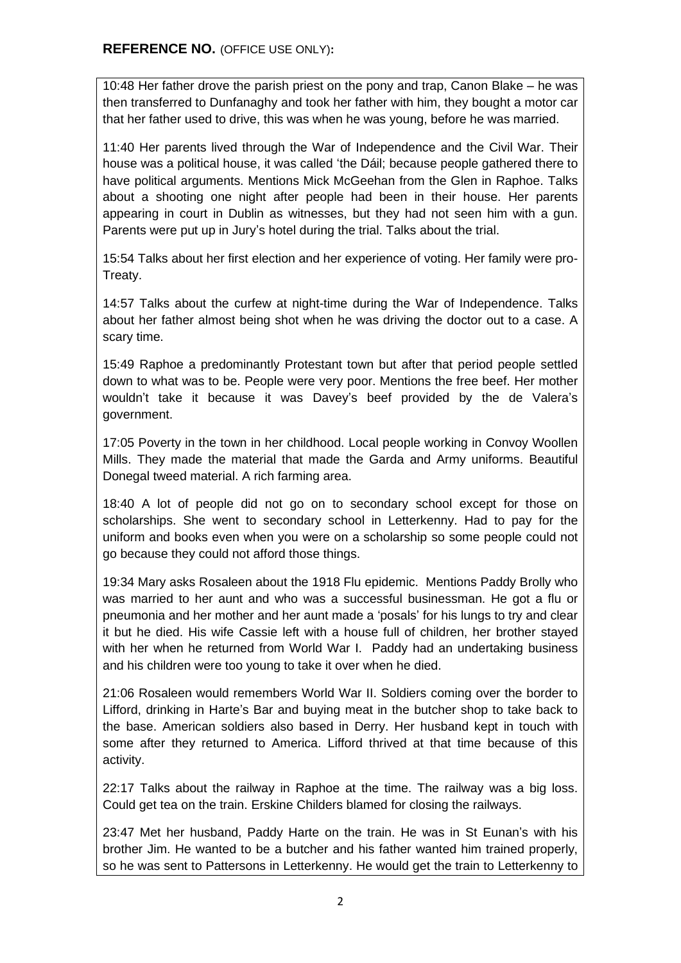### **REFERENCE NO.** (OFFICE USE ONLY)**:**

10:48 Her father drove the parish priest on the pony and trap, Canon Blake – he was then transferred to Dunfanaghy and took her father with him, they bought a motor car that her father used to drive, this was when he was young, before he was married.

11:40 Her parents lived through the War of Independence and the Civil War. Their house was a political house, it was called 'the Dáil; because people gathered there to have political arguments. Mentions Mick McGeehan from the Glen in Raphoe. Talks about a shooting one night after people had been in their house. Her parents appearing in court in Dublin as witnesses, but they had not seen him with a gun. Parents were put up in Jury's hotel during the trial. Talks about the trial.

15:54 Talks about her first election and her experience of voting. Her family were pro-Treaty.

14:57 Talks about the curfew at night-time during the War of Independence. Talks about her father almost being shot when he was driving the doctor out to a case. A scary time.

15:49 Raphoe a predominantly Protestant town but after that period people settled down to what was to be. People were very poor. Mentions the free beef. Her mother wouldn't take it because it was Davey's beef provided by the de Valera's government.

17:05 Poverty in the town in her childhood. Local people working in Convoy Woollen Mills. They made the material that made the Garda and Army uniforms. Beautiful Donegal tweed material. A rich farming area.

18:40 A lot of people did not go on to secondary school except for those on scholarships. She went to secondary school in Letterkenny. Had to pay for the uniform and books even when you were on a scholarship so some people could not go because they could not afford those things.

19:34 Mary asks Rosaleen about the 1918 Flu epidemic. Mentions Paddy Brolly who was married to her aunt and who was a successful businessman. He got a flu or pneumonia and her mother and her aunt made a 'posals' for his lungs to try and clear it but he died. His wife Cassie left with a house full of children, her brother stayed with her when he returned from World War I. Paddy had an undertaking business and his children were too young to take it over when he died.

21:06 Rosaleen would remembers World War II. Soldiers coming over the border to Lifford, drinking in Harte's Bar and buying meat in the butcher shop to take back to the base. American soldiers also based in Derry. Her husband kept in touch with some after they returned to America. Lifford thrived at that time because of this activity.

22:17 Talks about the railway in Raphoe at the time. The railway was a big loss. Could get tea on the train. Erskine Childers blamed for closing the railways.

23:47 Met her husband, Paddy Harte on the train. He was in St Eunan's with his brother Jim. He wanted to be a butcher and his father wanted him trained properly, so he was sent to Pattersons in Letterkenny. He would get the train to Letterkenny to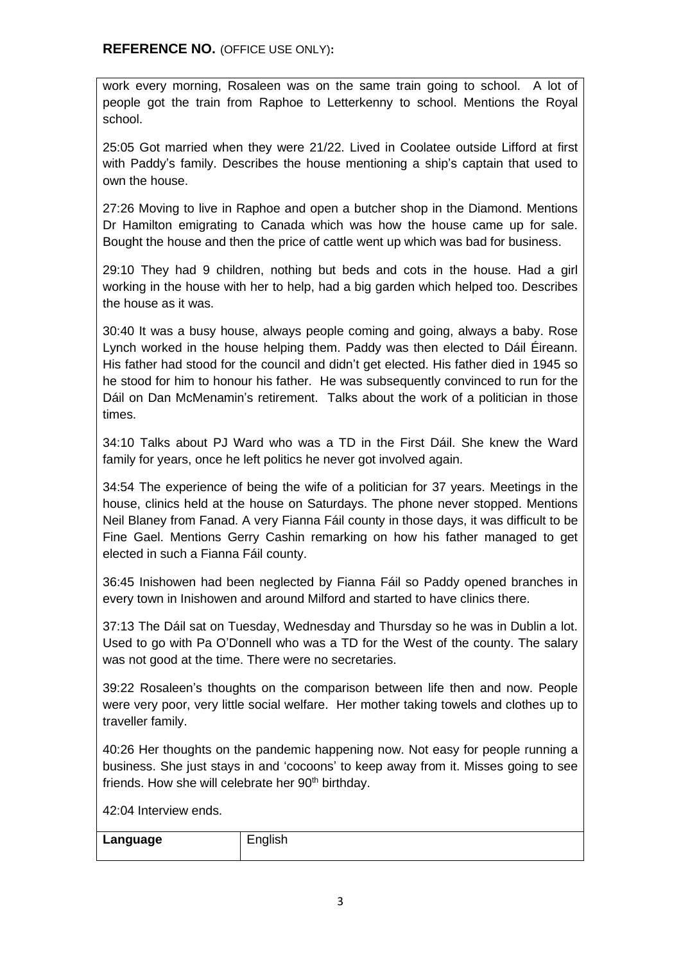work every morning, Rosaleen was on the same train going to school. A lot of people got the train from Raphoe to Letterkenny to school. Mentions the Royal school.

25:05 Got married when they were 21/22. Lived in Coolatee outside Lifford at first with Paddy's family. Describes the house mentioning a ship's captain that used to own the house.

27:26 Moving to live in Raphoe and open a butcher shop in the Diamond. Mentions Dr Hamilton emigrating to Canada which was how the house came up for sale. Bought the house and then the price of cattle went up which was bad for business.

29:10 They had 9 children, nothing but beds and cots in the house. Had a girl working in the house with her to help, had a big garden which helped too. Describes the house as it was.

30:40 It was a busy house, always people coming and going, always a baby. Rose Lynch worked in the house helping them. Paddy was then elected to Dáil Éireann. His father had stood for the council and didn't get elected. His father died in 1945 so he stood for him to honour his father. He was subsequently convinced to run for the Dáil on Dan McMenamin's retirement. Talks about the work of a politician in those times.

34:10 Talks about PJ Ward who was a TD in the First Dáil. She knew the Ward family for years, once he left politics he never got involved again.

34:54 The experience of being the wife of a politician for 37 years. Meetings in the house, clinics held at the house on Saturdays. The phone never stopped. Mentions Neil Blaney from Fanad. A very Fianna Fáil county in those days, it was difficult to be Fine Gael. Mentions Gerry Cashin remarking on how his father managed to get elected in such a Fianna Fáil county.

36:45 Inishowen had been neglected by Fianna Fáil so Paddy opened branches in every town in Inishowen and around Milford and started to have clinics there.

37:13 The Dáil sat on Tuesday, Wednesday and Thursday so he was in Dublin a lot. Used to go with Pa O'Donnell who was a TD for the West of the county. The salary was not good at the time. There were no secretaries.

39:22 Rosaleen's thoughts on the comparison between life then and now. People were very poor, very little social welfare. Her mother taking towels and clothes up to traveller family.

40:26 Her thoughts on the pandemic happening now. Not easy for people running a business. She just stays in and 'cocoons' to keep away from it. Misses going to see friends. How she will celebrate her 90<sup>th</sup> birthday.

42:04 Interview ends.

Language **English**